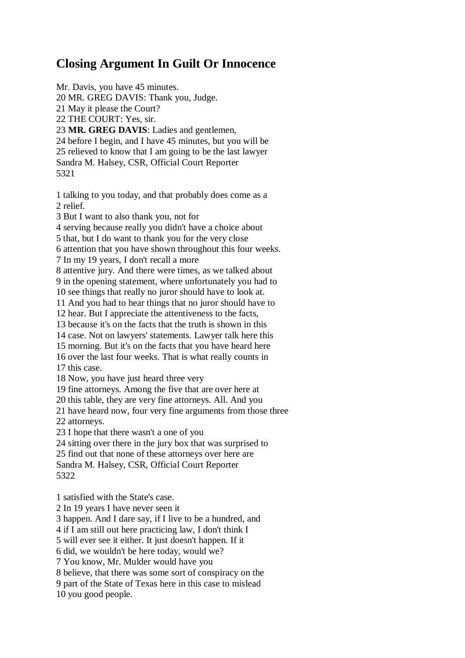## **Closing Argument In Guilt Or Innocence**

Mr. Davis, you have 45 minutes. 20 MR. GREG DAVIS: Thank you, Judge. 21 May it please the Court? 22 THE COURT: Yes, sir. 23 **MR. GREG DAVIS**: Ladies and gentlemen, 24 before I begin, and I have 45 minutes, but you will be 25 relieved to know that I am going to be the last lawyer Sandra M. Halsey, CSR, Official Court Reporter 5321

1 talking to you today, and that probably does come as a 2 relief.

3 But I want to also thank you, not for

4 serving because really you didn't have a choice about

5 that, but I do want to thank you for the very close

6 attention that you have shown throughout this four weeks.

7 In my 19 years, I don't recall a more

8 attentive jury. And there were times, as we talked about 9 in the opening statement, where unfortunately you had to

10 see things that really no juror should have to look at.

11 And you had to hear things that no juror should have to

12 hear. But I appreciate the attentiveness to the facts,

13 because it's on the facts that the truth is shown in this

14 case. Not on lawyers' statements. Lawyer talk here this

15 morning. But it's on the facts that you have heard here

16 over the last four weeks. That is what really counts in 17 this case.

18 Now, you have just heard three very

19 fine attorneys. Among the five that are over here at

20 this table, they are very fine attorneys. All. And you

21 have heard now, four very fine arguments from those three

22 attorneys.

23 I hope that there wasn't a one of you

24 sitting over there in the jury box that was surprised to

25 find out that none of these attorneys over here are Sandra M. Halsey, CSR, Official Court Reporter 5322

1 satisfied with the State's case.

2 In 19 years I have never seen it

3 happen. And I dare say, if I live to be a hundred, and

4 if I am still out here practicing law, I don't think I

5 will ever see it either. It just doesn't happen. If it

6 did, we wouldn't be here today, would we?

7 You know, Mr. Mulder would have you

8 believe, that there was some sort of conspiracy on the

9 part of the State of Texas here in this case to mislead

10 you good people.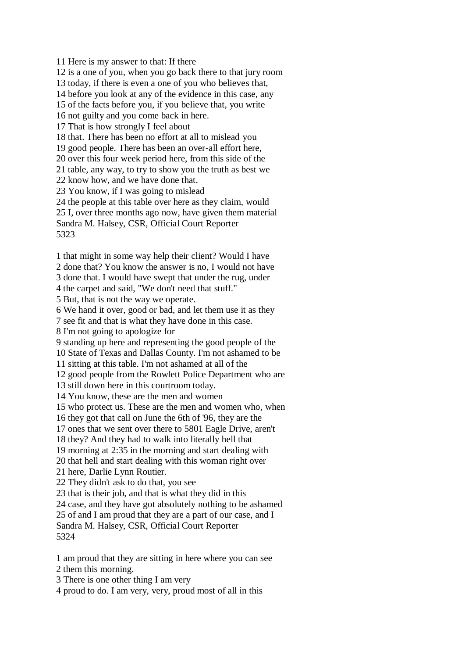11 Here is my answer to that: If there 12 is a one of you, when you go back there to that jury room 13 today, if there is even a one of you who believes that, 14 before you look at any of the evidence in this case, any 15 of the facts before you, if you believe that, you write 16 not guilty and you come back in here. 17 That is how strongly I feel about 18 that. There has been no effort at all to mislead you 19 good people. There has been an over-all effort here, 20 over this four week period here, from this side of the 21 table, any way, to try to show you the truth as best we 22 know how, and we have done that. 23 You know, if I was going to mislead 24 the people at this table over here as they claim, would 25 I, over three months ago now, have given them material Sandra M. Halsey, CSR, Official Court Reporter 5323 1 that might in some way help their client? Would I have 2 done that? You know the answer is no, I would not have

3 done that. I would have swept that under the rug, under

4 the carpet and said, "We don't need that stuff."

5 But, that is not the way we operate.

6 We hand it over, good or bad, and let them use it as they

7 see fit and that is what they have done in this case.

8 I'm not going to apologize for

9 standing up here and representing the good people of the

10 State of Texas and Dallas County. I'm not ashamed to be

11 sitting at this table. I'm not ashamed at all of the

12 good people from the Rowlett Police Department who are

13 still down here in this courtroom today.

14 You know, these are the men and women

15 who protect us. These are the men and women who, when

16 they got that call on June the 6th of '96, they are the

17 ones that we sent over there to 5801 Eagle Drive, aren't

18 they? And they had to walk into literally hell that

19 morning at 2:35 in the morning and start dealing with

20 that hell and start dealing with this woman right over

21 here, Darlie Lynn Routier.

22 They didn't ask to do that, you see

23 that is their job, and that is what they did in this

24 case, and they have got absolutely nothing to be ashamed

25 of and I am proud that they are a part of our case, and I

Sandra M. Halsey, CSR, Official Court Reporter 5324

1 am proud that they are sitting in here where you can see

2 them this morning.

3 There is one other thing I am very

4 proud to do. I am very, very, proud most of all in this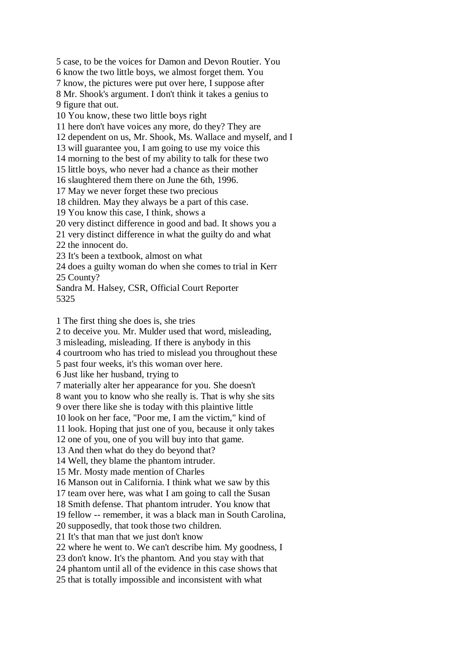5 case, to be the voices for Damon and Devon Routier. You 6 know the two little boys, we almost forget them. You 7 know, the pictures were put over here, I suppose after 8 Mr. Shook's argument. I don't think it takes a genius to 9 figure that out. 10 You know, these two little boys right 11 here don't have voices any more, do they? They are 12 dependent on us, Mr. Shook, Ms. Wallace and myself, and I 13 will guarantee you, I am going to use my voice this 14 morning to the best of my ability to talk for these two 15 little boys, who never had a chance as their mother 16 slaughtered them there on June the 6th, 1996. 17 May we never forget these two precious 18 children. May they always be a part of this case. 19 You know this case, I think, shows a 20 very distinct difference in good and bad. It shows you a 21 very distinct difference in what the guilty do and what 22 the innocent do. 23 It's been a textbook, almost on what 24 does a guilty woman do when she comes to trial in Kerr 25 County? Sandra M. Halsey, CSR, Official Court Reporter 5325

1 The first thing she does is, she tries

2 to deceive you. Mr. Mulder used that word, misleading,

3 misleading, misleading. If there is anybody in this

4 courtroom who has tried to mislead you throughout these

5 past four weeks, it's this woman over here.

6 Just like her husband, trying to

7 materially alter her appearance for you. She doesn't

8 want you to know who she really is. That is why she sits

9 over there like she is today with this plaintive little

10 look on her face, "Poor me, I am the victim," kind of

11 look. Hoping that just one of you, because it only takes

12 one of you, one of you will buy into that game.

13 And then what do they do beyond that?

14 Well, they blame the phantom intruder.

15 Mr. Mosty made mention of Charles

16 Manson out in California. I think what we saw by this

17 team over here, was what I am going to call the Susan

18 Smith defense. That phantom intruder. You know that

19 fellow -- remember, it was a black man in South Carolina,

20 supposedly, that took those two children.

21 It's that man that we just don't know

22 where he went to. We can't describe him. My goodness, I

23 don't know. It's the phantom. And you stay with that

24 phantom until all of the evidence in this case shows that

25 that is totally impossible and inconsistent with what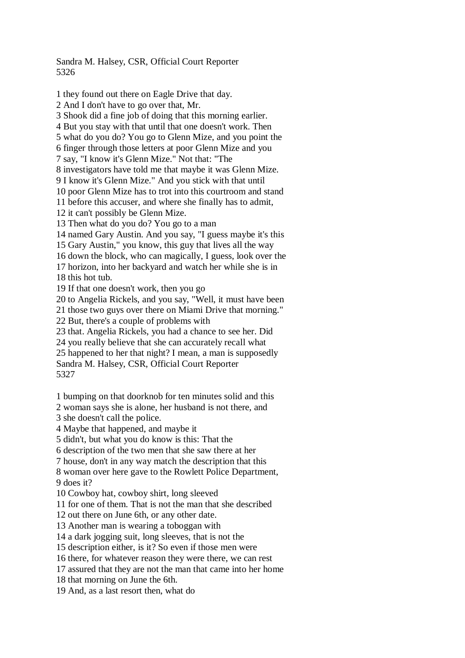Sandra M. Halsey, CSR, Official Court Reporter 5326

1 they found out there on Eagle Drive that day. 2 And I don't have to go over that, Mr. 3 Shook did a fine job of doing that this morning earlier. 4 But you stay with that until that one doesn't work. Then 5 what do you do? You go to Glenn Mize, and you point the 6 finger through those letters at poor Glenn Mize and you 7 say, "I know it's Glenn Mize." Not that: "The 8 investigators have told me that maybe it was Glenn Mize. 9 I know it's Glenn Mize." And you stick with that until 10 poor Glenn Mize has to trot into this courtroom and stand 11 before this accuser, and where she finally has to admit, 12 it can't possibly be Glenn Mize. 13 Then what do you do? You go to a man 14 named Gary Austin. And you say, "I guess maybe it's this 15 Gary Austin," you know, this guy that lives all the way 16 down the block, who can magically, I guess, look over the 17 horizon, into her backyard and watch her while she is in 18 this hot tub. 19 If that one doesn't work, then you go 20 to Angelia Rickels, and you say, "Well, it must have been 21 those two guys over there on Miami Drive that morning." 22 But, there's a couple of problems with 23 that. Angelia Rickels, you had a chance to see her. Did 24 you really believe that she can accurately recall what 25 happened to her that night? I mean, a man is supposedly Sandra M. Halsey, CSR, Official Court Reporter 5327 1 bumping on that doorknob for ten minutes solid and this 2 woman says she is alone, her husband is not there, and 3 she doesn't call the police. 4 Maybe that happened, and maybe it 5 didn't, but what you do know is this: That the 6 description of the two men that she saw there at her 7 house, don't in any way match the description that this 8 woman over here gave to the Rowlett Police Department, 9 does it? 10 Cowboy hat, cowboy shirt, long sleeved 11 for one of them. That is not the man that she described 12 out there on June 6th, or any other date. 13 Another man is wearing a toboggan with 14 a dark jogging suit, long sleeves, that is not the 15 description either, is it? So even if those men were 16 there, for whatever reason they were there, we can rest 17 assured that they are not the man that came into her home

18 that morning on June the 6th.

19 And, as a last resort then, what do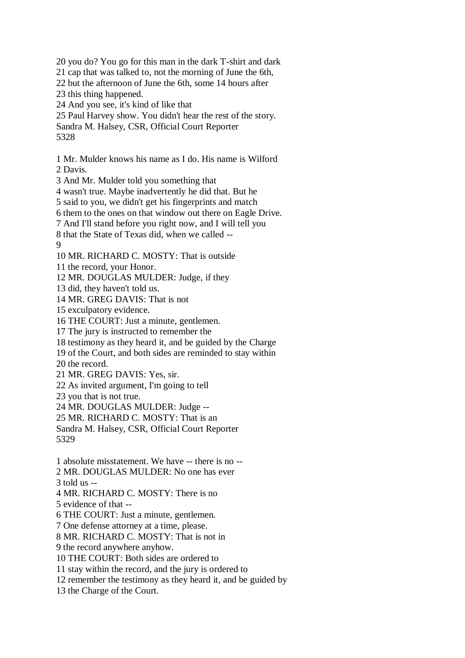20 you do? You go for this man in the dark T-shirt and dark 21 cap that was talked to, not the morning of June the 6th, 22 but the afternoon of June the 6th, some 14 hours after 23 this thing happened. 24 And you see, it's kind of like that 25 Paul Harvey show. You didn't hear the rest of the story. Sandra M. Halsey, CSR, Official Court Reporter 5328 1 Mr. Mulder knows his name as I do. His name is Wilford 2 Davis. 3 And Mr. Mulder told you something that 4 wasn't true. Maybe inadvertently he did that. But he 5 said to you, we didn't get his fingerprints and match 6 them to the ones on that window out there on Eagle Drive. 7 And I'll stand before you right now, and I will tell you 8 that the State of Texas did, when we called -- 9 10 MR. RICHARD C. MOSTY: That is outside 11 the record, your Honor. 12 MR. DOUGLAS MULDER: Judge, if they 13 did, they haven't told us. 14 MR. GREG DAVIS: That is not 15 exculpatory evidence. 16 THE COURT: Just a minute, gentlemen. 17 The jury is instructed to remember the 18 testimony as they heard it, and be guided by the Charge 19 of the Court, and both sides are reminded to stay within 20 the record. 21 MR. GREG DAVIS: Yes, sir. 22 As invited argument, I'm going to tell 23 you that is not true. 24 MR. DOUGLAS MULDER: Judge -- 25 MR. RICHARD C. MOSTY: That is an Sandra M. Halsey, CSR, Official Court Reporter 5329 1 absolute misstatement. We have -- there is no -- 2 MR. DOUGLAS MULDER: No one has ever

3 told us --

4 MR. RICHARD C. MOSTY: There is no

5 evidence of that --

6 THE COURT: Just a minute, gentlemen.

7 One defense attorney at a time, please.

8 MR. RICHARD C. MOSTY: That is not in

9 the record anywhere anyhow.

10 THE COURT: Both sides are ordered to

11 stay within the record, and the jury is ordered to

12 remember the testimony as they heard it, and be guided by

13 the Charge of the Court.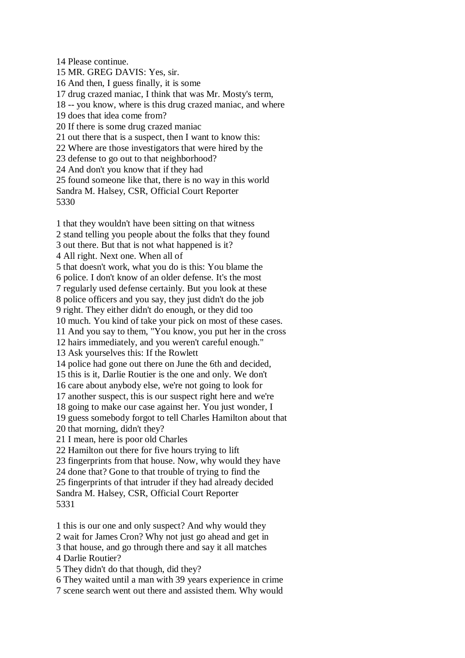14 Please continue. 15 MR. GREG DAVIS: Yes, sir. 16 And then, I guess finally, it is some 17 drug crazed maniac, I think that was Mr. Mosty's term, 18 -- you know, where is this drug crazed maniac, and where 19 does that idea come from? 20 If there is some drug crazed maniac 21 out there that is a suspect, then I want to know this: 22 Where are those investigators that were hired by the 23 defense to go out to that neighborhood? 24 And don't you know that if they had 25 found someone like that, there is no way in this world Sandra M. Halsey, CSR, Official Court Reporter 5330

1 that they wouldn't have been sitting on that witness 2 stand telling you people about the folks that they found 3 out there. But that is not what happened is it? 4 All right. Next one. When all of 5 that doesn't work, what you do is this: You blame the 6 police. I don't know of an older defense. It's the most 7 regularly used defense certainly. But you look at these 8 police officers and you say, they just didn't do the job 9 right. They either didn't do enough, or they did too 10 much. You kind of take your pick on most of these cases. 11 And you say to them, "You know, you put her in the cross 12 hairs immediately, and you weren't careful enough." 13 Ask yourselves this: If the Rowlett 14 police had gone out there on June the 6th and decided, 15 this is it, Darlie Routier is the one and only. We don't 16 care about anybody else, we're not going to look for 17 another suspect, this is our suspect right here and we're 18 going to make our case against her. You just wonder, I 19 guess somebody forgot to tell Charles Hamilton about that 20 that morning, didn't they? 21 I mean, here is poor old Charles 22 Hamilton out there for five hours trying to lift 23 fingerprints from that house. Now, why would they have 24 done that? Gone to that trouble of trying to find the 25 fingerprints of that intruder if they had already decided Sandra M. Halsey, CSR, Official Court Reporter 5331

1 this is our one and only suspect? And why would they

2 wait for James Cron? Why not just go ahead and get in

3 that house, and go through there and say it all matches 4 Darlie Routier?

5 They didn't do that though, did they?

6 They waited until a man with 39 years experience in crime

7 scene search went out there and assisted them. Why would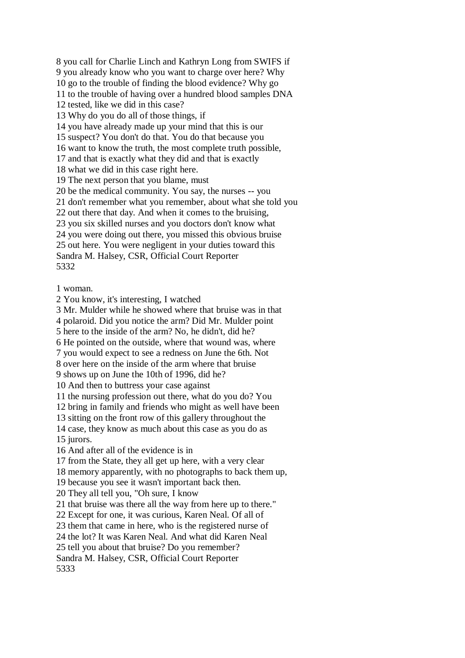8 you call for Charlie Linch and Kathryn Long from SWIFS if 9 you already know who you want to charge over here? Why 10 go to the trouble of finding the blood evidence? Why go 11 to the trouble of having over a hundred blood samples DNA 12 tested, like we did in this case? 13 Why do you do all of those things, if 14 you have already made up your mind that this is our 15 suspect? You don't do that. You do that because you 16 want to know the truth, the most complete truth possible, 17 and that is exactly what they did and that is exactly 18 what we did in this case right here. 19 The next person that you blame, must 20 be the medical community. You say, the nurses -- you 21 don't remember what you remember, about what she told you 22 out there that day. And when it comes to the bruising, 23 you six skilled nurses and you doctors don't know what 24 you were doing out there, you missed this obvious bruise 25 out here. You were negligent in your duties toward this Sandra M. Halsey, CSR, Official Court Reporter 5332

1 woman.

2 You know, it's interesting, I watched

3 Mr. Mulder while he showed where that bruise was in that

4 polaroid. Did you notice the arm? Did Mr. Mulder point

5 here to the inside of the arm? No, he didn't, did he?

6 He pointed on the outside, where that wound was, where

7 you would expect to see a redness on June the 6th. Not

8 over here on the inside of the arm where that bruise

9 shows up on June the 10th of 1996, did he?

10 And then to buttress your case against

11 the nursing profession out there, what do you do? You

12 bring in family and friends who might as well have been

13 sitting on the front row of this gallery throughout the

14 case, they know as much about this case as you do as 15 jurors.

16 And after all of the evidence is in

17 from the State, they all get up here, with a very clear

18 memory apparently, with no photographs to back them up,

19 because you see it wasn't important back then.

20 They all tell you, "Oh sure, I know

21 that bruise was there all the way from here up to there."

22 Except for one, it was curious, Karen Neal. Of all of

23 them that came in here, who is the registered nurse of

24 the lot? It was Karen Neal. And what did Karen Neal

25 tell you about that bruise? Do you remember?

Sandra M. Halsey, CSR, Official Court Reporter 5333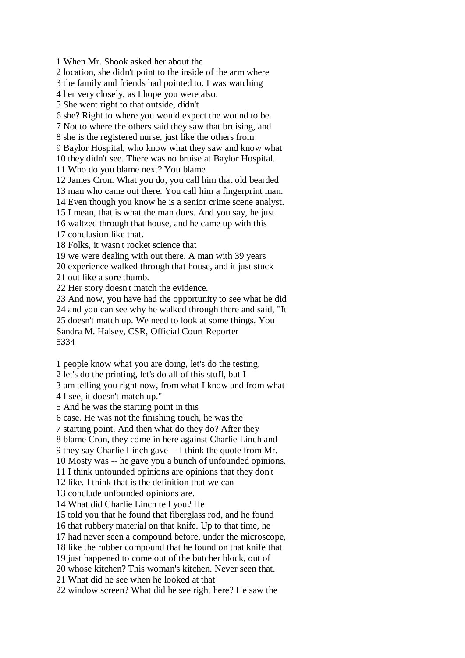1 When Mr. Shook asked her about the

2 location, she didn't point to the inside of the arm where

3 the family and friends had pointed to. I was watching

4 her very closely, as I hope you were also.

5 She went right to that outside, didn't

6 she? Right to where you would expect the wound to be.

7 Not to where the others said they saw that bruising, and

8 she is the registered nurse, just like the others from

9 Baylor Hospital, who know what they saw and know what

10 they didn't see. There was no bruise at Baylor Hospital.

11 Who do you blame next? You blame

12 James Cron. What you do, you call him that old bearded

13 man who came out there. You call him a fingerprint man.

14 Even though you know he is a senior crime scene analyst.

15 I mean, that is what the man does. And you say, he just

16 waltzed through that house, and he came up with this

17 conclusion like that.

18 Folks, it wasn't rocket science that

19 we were dealing with out there. A man with 39 years

20 experience walked through that house, and it just stuck

21 out like a sore thumb.

22 Her story doesn't match the evidence.

23 And now, you have had the opportunity to see what he did 24 and you can see why he walked through there and said, "It 25 doesn't match up. We need to look at some things. You Sandra M. Halsey, CSR, Official Court Reporter 5334

1 people know what you are doing, let's do the testing,

2 let's do the printing, let's do all of this stuff, but I

3 am telling you right now, from what I know and from what 4 I see, it doesn't match up."

5 And he was the starting point in this

6 case. He was not the finishing touch, he was the

7 starting point. And then what do they do? After they

8 blame Cron, they come in here against Charlie Linch and

9 they say Charlie Linch gave -- I think the quote from Mr.

10 Mosty was -- he gave you a bunch of unfounded opinions.

11 I think unfounded opinions are opinions that they don't

12 like. I think that is the definition that we can

13 conclude unfounded opinions are.

14 What did Charlie Linch tell you? He

15 told you that he found that fiberglass rod, and he found

16 that rubbery material on that knife. Up to that time, he

17 had never seen a compound before, under the microscope,

18 like the rubber compound that he found on that knife that

19 just happened to come out of the butcher block, out of

20 whose kitchen? This woman's kitchen. Never seen that.

21 What did he see when he looked at that

22 window screen? What did he see right here? He saw the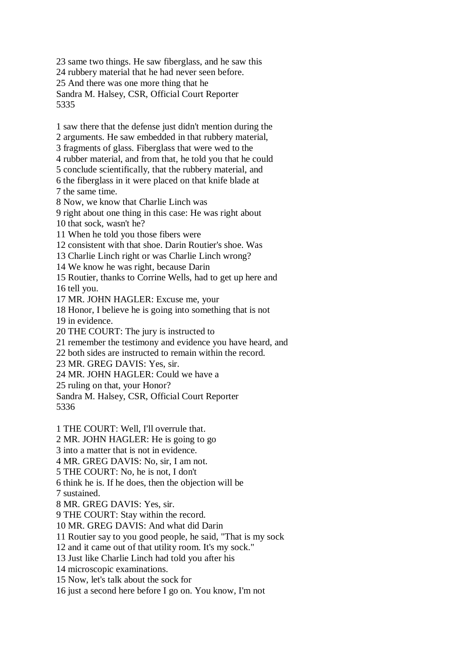23 same two things. He saw fiberglass, and he saw this 24 rubbery material that he had never seen before. 25 And there was one more thing that he Sandra M. Halsey, CSR, Official Court Reporter 5335

1 saw there that the defense just didn't mention during the 2 arguments. He saw embedded in that rubbery material, 3 fragments of glass. Fiberglass that were wed to the 4 rubber material, and from that, he told you that he could 5 conclude scientifically, that the rubbery material, and 6 the fiberglass in it were placed on that knife blade at 7 the same time. 8 Now, we know that Charlie Linch was 9 right about one thing in this case: He was right about 10 that sock, wasn't he? 11 When he told you those fibers were 12 consistent with that shoe. Darin Routier's shoe. Was 13 Charlie Linch right or was Charlie Linch wrong? 14 We know he was right, because Darin 15 Routier, thanks to Corrine Wells, had to get up here and 16 tell you. 17 MR. JOHN HAGLER: Excuse me, your 18 Honor, I believe he is going into something that is not 19 in evidence. 20 THE COURT: The jury is instructed to 21 remember the testimony and evidence you have heard, and 22 both sides are instructed to remain within the record. 23 MR. GREG DAVIS: Yes, sir. 24 MR. JOHN HAGLER: Could we have a 25 ruling on that, your Honor? Sandra M. Halsey, CSR, Official Court Reporter 5336 1 THE COURT: Well, I'll overrule that. 2 MR. JOHN HAGLER: He is going to go 3 into a matter that is not in evidence. 4 MR. GREG DAVIS: No, sir, I am not. 5 THE COURT: No, he is not, I don't 6 think he is. If he does, then the objection will be 7 sustained. 8 MR. GREG DAVIS: Yes, sir. 9 THE COURT: Stay within the record. 10 MR. GREG DAVIS: And what did Darin 11 Routier say to you good people, he said, "That is my sock 12 and it came out of that utility room. It's my sock."

13 Just like Charlie Linch had told you after his

14 microscopic examinations.

15 Now, let's talk about the sock for

16 just a second here before I go on. You know, I'm not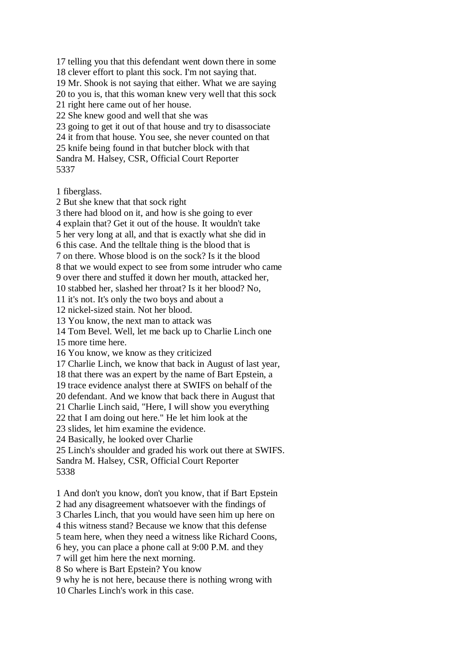17 telling you that this defendant went down there in some 18 clever effort to plant this sock. I'm not saying that. 19 Mr. Shook is not saying that either. What we are saying 20 to you is, that this woman knew very well that this sock 21 right here came out of her house. 22 She knew good and well that she was 23 going to get it out of that house and try to disassociate 24 it from that house. You see, she never counted on that 25 knife being found in that butcher block with that Sandra M. Halsey, CSR, Official Court Reporter 5337

1 fiberglass. 2 But she knew that that sock right 3 there had blood on it, and how is she going to ever 4 explain that? Get it out of the house. It wouldn't take 5 her very long at all, and that is exactly what she did in 6 this case. And the telltale thing is the blood that is 7 on there. Whose blood is on the sock? Is it the blood 8 that we would expect to see from some intruder who came 9 over there and stuffed it down her mouth, attacked her, 10 stabbed her, slashed her throat? Is it her blood? No, 11 it's not. It's only the two boys and about a 12 nickel-sized stain. Not her blood. 13 You know, the next man to attack was 14 Tom Bevel. Well, let me back up to Charlie Linch one 15 more time here. 16 You know, we know as they criticized 17 Charlie Linch, we know that back in August of last year, 18 that there was an expert by the name of Bart Epstein, a 19 trace evidence analyst there at SWIFS on behalf of the 20 defendant. And we know that back there in August that 21 Charlie Linch said, "Here, I will show you everything 22 that I am doing out here." He let him look at the 23 slides, let him examine the evidence. 24 Basically, he looked over Charlie 25 Linch's shoulder and graded his work out there at SWIFS. Sandra M. Halsey, CSR, Official Court Reporter 5338 1 And don't you know, don't you know, that if Bart Epstein 2 had any disagreement whatsoever with the findings of 3 Charles Linch, that you would have seen him up here on

4 this witness stand? Because we know that this defense 5 team here, when they need a witness like Richard Coons, 6 hey, you can place a phone call at 9:00 P.M. and they

9 why he is not here, because there is nothing wrong with

7 will get him here the next morning. 8 So where is Bart Epstein? You know

10 Charles Linch's work in this case.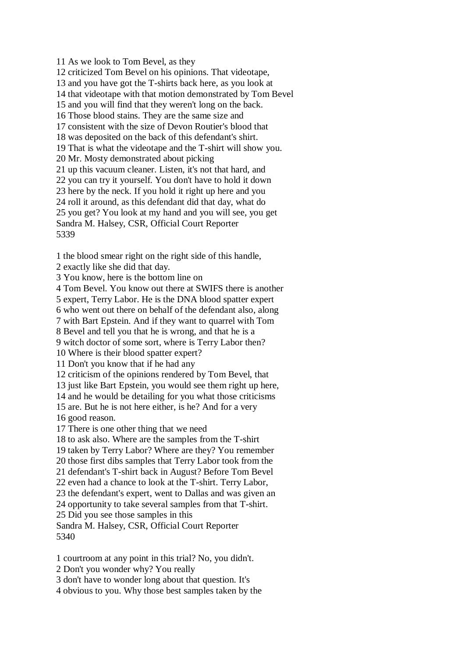11 As we look to Tom Bevel, as they 12 criticized Tom Bevel on his opinions. That videotape, 13 and you have got the T-shirts back here, as you look at 14 that videotape with that motion demonstrated by Tom Bevel 15 and you will find that they weren't long on the back. 16 Those blood stains. They are the same size and 17 consistent with the size of Devon Routier's blood that 18 was deposited on the back of this defendant's shirt. 19 That is what the videotape and the T-shirt will show you. 20 Mr. Mosty demonstrated about picking 21 up this vacuum cleaner. Listen, it's not that hard, and 22 you can try it yourself. You don't have to hold it down 23 here by the neck. If you hold it right up here and you 24 roll it around, as this defendant did that day, what do 25 you get? You look at my hand and you will see, you get Sandra M. Halsey, CSR, Official Court Reporter 5339

1 the blood smear right on the right side of this handle,

2 exactly like she did that day.

3 You know, here is the bottom line on

4 Tom Bevel. You know out there at SWIFS there is another

5 expert, Terry Labor. He is the DNA blood spatter expert

6 who went out there on behalf of the defendant also, along

7 with Bart Epstein. And if they want to quarrel with Tom

8 Bevel and tell you that he is wrong, and that he is a

9 witch doctor of some sort, where is Terry Labor then?

10 Where is their blood spatter expert?

11 Don't you know that if he had any

12 criticism of the opinions rendered by Tom Bevel, that

13 just like Bart Epstein, you would see them right up here,

14 and he would be detailing for you what those criticisms

15 are. But he is not here either, is he? And for a very 16 good reason.

17 There is one other thing that we need

18 to ask also. Where are the samples from the T-shirt

19 taken by Terry Labor? Where are they? You remember

20 those first dibs samples that Terry Labor took from the

21 defendant's T-shirt back in August? Before Tom Bevel

22 even had a chance to look at the T-shirt. Terry Labor,

23 the defendant's expert, went to Dallas and was given an

24 opportunity to take several samples from that T-shirt.

25 Did you see those samples in this

Sandra M. Halsey, CSR, Official Court Reporter 5340

1 courtroom at any point in this trial? No, you didn't.

2 Don't you wonder why? You really

3 don't have to wonder long about that question. It's

4 obvious to you. Why those best samples taken by the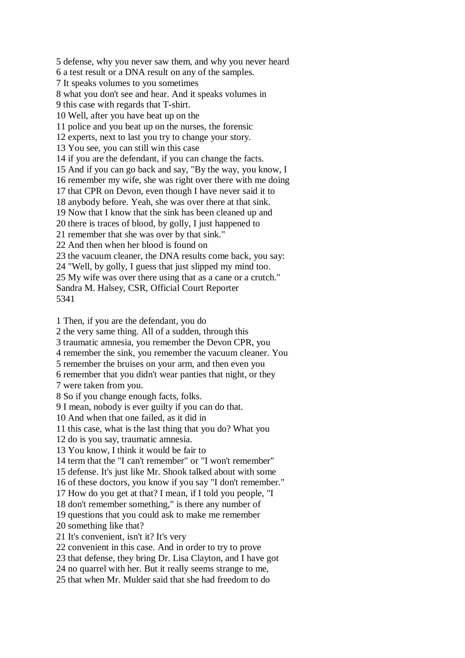5 defense, why you never saw them, and why you never heard 6 a test result or a DNA result on any of the samples. 7 It speaks volumes to you sometimes 8 what you don't see and hear. And it speaks volumes in 9 this case with regards that T-shirt. 10 Well, after you have beat up on the 11 police and you beat up on the nurses, the forensic 12 experts, next to last you try to change your story. 13 You see, you can still win this case 14 if you are the defendant, if you can change the facts. 15 And if you can go back and say, "By the way, you know, I 16 remember my wife, she was right over there with me doing 17 that CPR on Devon, even though I have never said it to 18 anybody before. Yeah, she was over there at that sink. 19 Now that I know that the sink has been cleaned up and 20 there is traces of blood, by golly, I just happened to 21 remember that she was over by that sink." 22 And then when her blood is found on 23 the vacuum cleaner, the DNA results come back, you say: 24 "Well, by golly, I guess that just slipped my mind too. 25 My wife was over there using that as a cane or a crutch." Sandra M. Halsey, CSR, Official Court Reporter 5341 1 Then, if you are the defendant, you do 2 the very same thing. All of a sudden, through this 3 traumatic amnesia, you remember the Devon CPR, you

4 remember the sink, you remember the vacuum cleaner. You

5 remember the bruises on your arm, and then even you

- 6 remember that you didn't wear panties that night, or they
- 7 were taken from you.

8 So if you change enough facts, folks.

9 I mean, nobody is ever guilty if you can do that.

10 And when that one failed, as it did in

11 this case, what is the last thing that you do? What you

12 do is you say, traumatic amnesia.

13 You know, I think it would be fair to

14 term that the "I can't remember" or "I won't remember"

15 defense. It's just like Mr. Shook talked about with some

16 of these doctors, you know if you say "I don't remember."

17 How do you get at that? I mean, if I told you people, "I

18 don't remember something," is there any number of

19 questions that you could ask to make me remember

20 something like that?

21 It's convenient, isn't it? It's very

22 convenient in this case. And in order to try to prove

23 that defense, they bring Dr. Lisa Clayton, and I have got

24 no quarrel with her. But it really seems strange to me,

25 that when Mr. Mulder said that she had freedom to do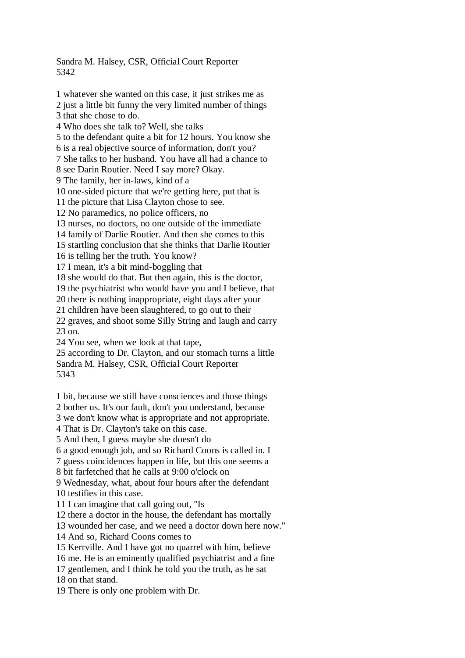Sandra M. Halsey, CSR, Official Court Reporter 5342

1 whatever she wanted on this case, it just strikes me as 2 just a little bit funny the very limited number of things 3 that she chose to do. 4 Who does she talk to? Well, she talks 5 to the defendant quite a bit for 12 hours. You know she 6 is a real objective source of information, don't you? 7 She talks to her husband. You have all had a chance to 8 see Darin Routier. Need I say more? Okay. 9 The family, her in-laws, kind of a 10 one-sided picture that we're getting here, put that is 11 the picture that Lisa Clayton chose to see. 12 No paramedics, no police officers, no 13 nurses, no doctors, no one outside of the immediate 14 family of Darlie Routier. And then she comes to this 15 startling conclusion that she thinks that Darlie Routier 16 is telling her the truth. You know? 17 I mean, it's a bit mind-boggling that 18 she would do that. But then again, this is the doctor, 19 the psychiatrist who would have you and I believe, that 20 there is nothing inappropriate, eight days after your 21 children have been slaughtered, to go out to their 22 graves, and shoot some Silly String and laugh and carry 23 on. 24 You see, when we look at that tape, 25 according to Dr. Clayton, and our stomach turns a little Sandra M. Halsey, CSR, Official Court Reporter 5343 1 bit, because we still have consciences and those things 2 bother us. It's our fault, don't you understand, because 3 we don't know what is appropriate and not appropriate. 4 That is Dr. Clayton's take on this case. 5 And then, I guess maybe she doesn't do 6 a good enough job, and so Richard Coons is called in. I 7 guess coincidences happen in life, but this one seems a

8 bit farfetched that he calls at 9:00 o'clock on

9 Wednesday, what, about four hours after the defendant 10 testifies in this case.

11 I can imagine that call going out, "Is

12 there a doctor in the house, the defendant has mortally

13 wounded her case, and we need a doctor down here now."

14 And so, Richard Coons comes to

15 Kerrville. And I have got no quarrel with him, believe

16 me. He is an eminently qualified psychiatrist and a fine

17 gentlemen, and I think he told you the truth, as he sat

18 on that stand.

19 There is only one problem with Dr.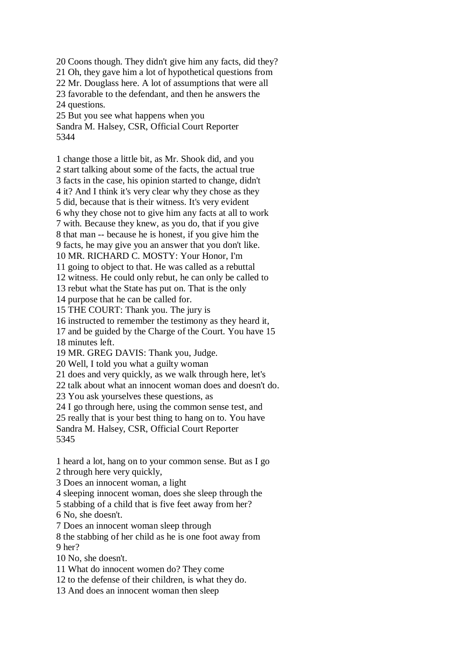20 Coons though. They didn't give him any facts, did they? 21 Oh, they gave him a lot of hypothetical questions from 22 Mr. Douglass here. A lot of assumptions that were all 23 favorable to the defendant, and then he answers the 24 questions. 25 But you see what happens when you

Sandra M. Halsey, CSR, Official Court Reporter 5344

1 change those a little bit, as Mr. Shook did, and you 2 start talking about some of the facts, the actual true 3 facts in the case, his opinion started to change, didn't 4 it? And I think it's very clear why they chose as they 5 did, because that is their witness. It's very evident 6 why they chose not to give him any facts at all to work 7 with. Because they knew, as you do, that if you give 8 that man -- because he is honest, if you give him the 9 facts, he may give you an answer that you don't like. 10 MR. RICHARD C. MOSTY: Your Honor, I'm 11 going to object to that. He was called as a rebuttal 12 witness. He could only rebut, he can only be called to 13 rebut what the State has put on. That is the only 14 purpose that he can be called for. 15 THE COURT: Thank you. The jury is 16 instructed to remember the testimony as they heard it, 17 and be guided by the Charge of the Court. You have 15 18 minutes left. 19 MR. GREG DAVIS: Thank you, Judge. 20 Well, I told you what a guilty woman 21 does and very quickly, as we walk through here, let's 22 talk about what an innocent woman does and doesn't do. 23 You ask yourselves these questions, as 24 I go through here, using the common sense test, and 25 really that is your best thing to hang on to. You have Sandra M. Halsey, CSR, Official Court Reporter

5345

1 heard a lot, hang on to your common sense. But as I go 2 through here very quickly,

3 Does an innocent woman, a light

4 sleeping innocent woman, does she sleep through the

5 stabbing of a child that is five feet away from her?

6 No, she doesn't.

7 Does an innocent woman sleep through

8 the stabbing of her child as he is one foot away from 9 her?

10 No, she doesn't.

11 What do innocent women do? They come

12 to the defense of their children, is what they do.

13 And does an innocent woman then sleep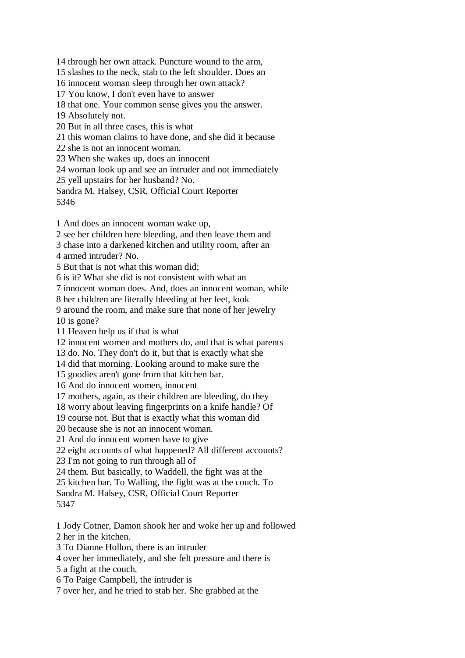14 through her own attack. Puncture wound to the arm, 15 slashes to the neck, stab to the left shoulder. Does an 16 innocent woman sleep through her own attack? 17 You know, I don't even have to answer 18 that one. Your common sense gives you the answer. 19 Absolutely not. 20 But in all three cases, this is what 21 this woman claims to have done, and she did it because 22 she is not an innocent woman. 23 When she wakes up, does an innocent 24 woman look up and see an intruder and not immediately 25 yell upstairs for her husband? No. Sandra M. Halsey, CSR, Official Court Reporter 5346 1 And does an innocent woman wake up, 2 see her children here bleeding, and then leave them and

3 chase into a darkened kitchen and utility room, after an

4 armed intruder? No.

5 But that is not what this woman did;

6 is it? What she did is not consistent with what an

7 innocent woman does. And, does an innocent woman, while

8 her children are literally bleeding at her feet, look

9 around the room, and make sure that none of her jewelry 10 is gone?

11 Heaven help us if that is what

12 innocent women and mothers do, and that is what parents

13 do. No. They don't do it, but that is exactly what she

14 did that morning. Looking around to make sure the

15 goodies aren't gone from that kitchen bar.

16 And do innocent women, innocent

17 mothers, again, as their children are bleeding, do they

18 worry about leaving fingerprints on a knife handle? Of

19 course not. But that is exactly what this woman did

20 because she is not an innocent woman.

21 And do innocent women have to give

22 eight accounts of what happened? All different accounts?

23 I'm not going to run through all of

24 them. But basically, to Waddell, the fight was at the

25 kitchen bar. To Walling, the fight was at the couch. To

Sandra M. Halsey, CSR, Official Court Reporter

5347

1 Jody Cotner, Damon shook her and woke her up and followed 2 her in the kitchen.

3 To Dianne Hollon, there is an intruder

4 over her immediately, and she felt pressure and there is

5 a fight at the couch.

6 To Paige Campbell, the intruder is

7 over her, and he tried to stab her. She grabbed at the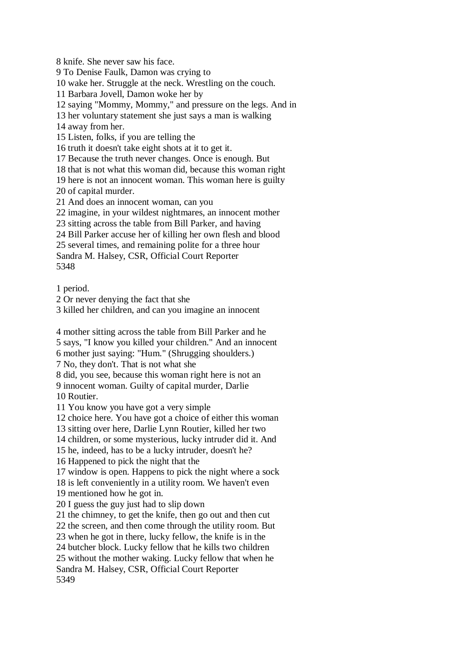8 knife. She never saw his face.

9 To Denise Faulk, Damon was crying to

10 wake her. Struggle at the neck. Wrestling on the couch.

11 Barbara Jovell, Damon woke her by

12 saying "Mommy, Mommy," and pressure on the legs. And in

13 her voluntary statement she just says a man is walking

14 away from her.

15 Listen, folks, if you are telling the

16 truth it doesn't take eight shots at it to get it.

17 Because the truth never changes. Once is enough. But

18 that is not what this woman did, because this woman right

19 here is not an innocent woman. This woman here is guilty

20 of capital murder.

21 And does an innocent woman, can you

22 imagine, in your wildest nightmares, an innocent mother

23 sitting across the table from Bill Parker, and having

24 Bill Parker accuse her of killing her own flesh and blood

25 several times, and remaining polite for a three hour

Sandra M. Halsey, CSR, Official Court Reporter 5348

1 period.

2 Or never denying the fact that she

3 killed her children, and can you imagine an innocent

4 mother sitting across the table from Bill Parker and he

5 says, "I know you killed your children." And an innocent

6 mother just saying: "Hum." (Shrugging shoulders.)

7 No, they don't. That is not what she

8 did, you see, because this woman right here is not an 9 innocent woman. Guilty of capital murder, Darlie

10 Routier.

11 You know you have got a very simple

12 choice here. You have got a choice of either this woman

13 sitting over here, Darlie Lynn Routier, killed her two

14 children, or some mysterious, lucky intruder did it. And

15 he, indeed, has to be a lucky intruder, doesn't he?

16 Happened to pick the night that the

17 window is open. Happens to pick the night where a sock

18 is left conveniently in a utility room. We haven't even 19 mentioned how he got in.

20 I guess the guy just had to slip down

21 the chimney, to get the knife, then go out and then cut

22 the screen, and then come through the utility room. But

23 when he got in there, lucky fellow, the knife is in the

24 butcher block. Lucky fellow that he kills two children

25 without the mother waking. Lucky fellow that when he

Sandra M. Halsey, CSR, Official Court Reporter 5349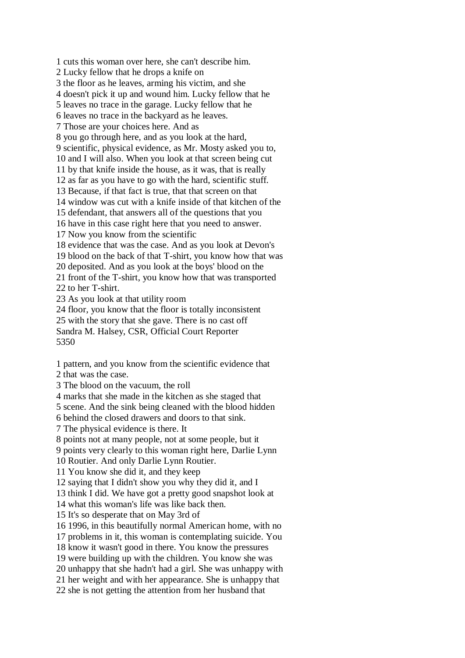1 cuts this woman over here, she can't describe him. 2 Lucky fellow that he drops a knife on 3 the floor as he leaves, arming his victim, and she 4 doesn't pick it up and wound him. Lucky fellow that he 5 leaves no trace in the garage. Lucky fellow that he 6 leaves no trace in the backyard as he leaves. 7 Those are your choices here. And as 8 you go through here, and as you look at the hard, 9 scientific, physical evidence, as Mr. Mosty asked you to, 10 and I will also. When you look at that screen being cut 11 by that knife inside the house, as it was, that is really 12 as far as you have to go with the hard, scientific stuff. 13 Because, if that fact is true, that that screen on that 14 window was cut with a knife inside of that kitchen of the 15 defendant, that answers all of the questions that you 16 have in this case right here that you need to answer. 17 Now you know from the scientific 18 evidence that was the case. And as you look at Devon's 19 blood on the back of that T-shirt, you know how that was 20 deposited. And as you look at the boys' blood on the 21 front of the T-shirt, you know how that was transported 22 to her T-shirt. 23 As you look at that utility room 24 floor, you know that the floor is totally inconsistent 25 with the story that she gave. There is no cast off Sandra M. Halsey, CSR, Official Court Reporter

5350

1 pattern, and you know from the scientific evidence that

2 that was the case.

3 The blood on the vacuum, the roll

4 marks that she made in the kitchen as she staged that

5 scene. And the sink being cleaned with the blood hidden

6 behind the closed drawers and doors to that sink.

7 The physical evidence is there. It

8 points not at many people, not at some people, but it

9 points very clearly to this woman right here, Darlie Lynn

10 Routier. And only Darlie Lynn Routier.

11 You know she did it, and they keep

12 saying that I didn't show you why they did it, and I

13 think I did. We have got a pretty good snapshot look at

14 what this woman's life was like back then.

15 It's so desperate that on May 3rd of

16 1996, in this beautifully normal American home, with no

17 problems in it, this woman is contemplating suicide. You

18 know it wasn't good in there. You know the pressures

19 were building up with the children. You know she was

20 unhappy that she hadn't had a girl. She was unhappy with

21 her weight and with her appearance. She is unhappy that

22 she is not getting the attention from her husband that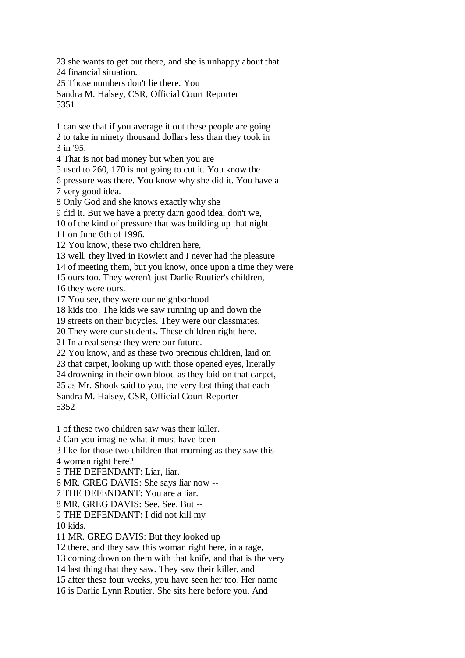23 she wants to get out there, and she is unhappy about that 24 financial situation. 25 Those numbers don't lie there. You

Sandra M. Halsey, CSR, Official Court Reporter 5351

1 can see that if you average it out these people are going 2 to take in ninety thousand dollars less than they took in 3 in '95.

4 That is not bad money but when you are

5 used to 260, 170 is not going to cut it. You know the

6 pressure was there. You know why she did it. You have a 7 very good idea.

8 Only God and she knows exactly why she

9 did it. But we have a pretty darn good idea, don't we,

10 of the kind of pressure that was building up that night

11 on June 6th of 1996.

12 You know, these two children here,

13 well, they lived in Rowlett and I never had the pleasure

14 of meeting them, but you know, once upon a time they were

15 ours too. They weren't just Darlie Routier's children,

16 they were ours.

17 You see, they were our neighborhood

18 kids too. The kids we saw running up and down the

19 streets on their bicycles. They were our classmates.

20 They were our students. These children right here.

21 In a real sense they were our future.

22 You know, and as these two precious children, laid on

23 that carpet, looking up with those opened eyes, literally

24 drowning in their own blood as they laid on that carpet,

25 as Mr. Shook said to you, the very last thing that each

Sandra M. Halsey, CSR, Official Court Reporter 5352

1 of these two children saw was their killer.

2 Can you imagine what it must have been

3 like for those two children that morning as they saw this

4 woman right here?

5 THE DEFENDANT: Liar, liar.

6 MR. GREG DAVIS: She says liar now --

7 THE DEFENDANT: You are a liar.

8 MR. GREG DAVIS: See. See. But --

9 THE DEFENDANT: I did not kill my

10 kids.

11 MR. GREG DAVIS: But they looked up

12 there, and they saw this woman right here, in a rage,

13 coming down on them with that knife, and that is the very

14 last thing that they saw. They saw their killer, and

15 after these four weeks, you have seen her too. Her name

16 is Darlie Lynn Routier. She sits here before you. And